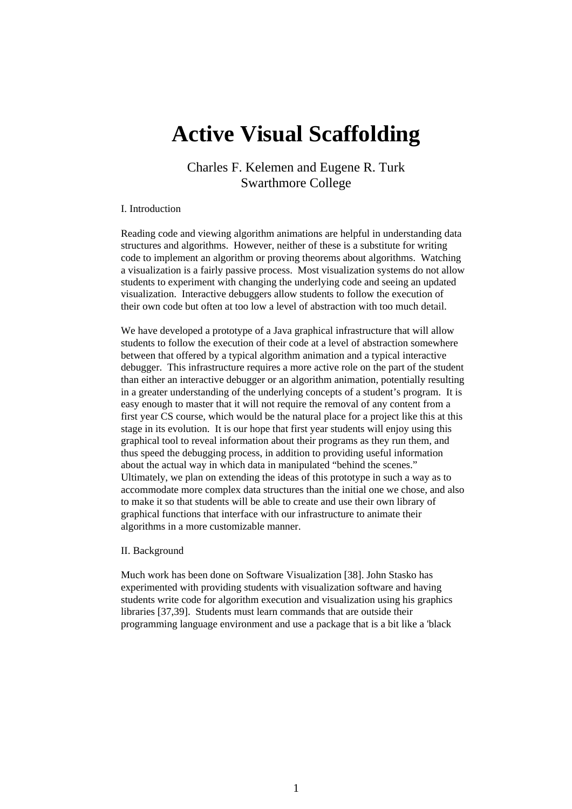# **Active Visual Scaffolding**

Charles F. Kelemen and Eugene R. Turk Swarthmore College

## I. Introduction

Reading code and viewing algorithm animations are helpful in understanding data structures and algorithms. However, neither of these is a substitute for writing code to implement an algorithm or proving theorems about algorithms. Watching a visualization is a fairly passive process. Most visualization systems do not allow students to experiment with changing the underlying code and seeing an updated visualization. Interactive debuggers allow students to follow the execution of their own code but often at too low a level of abstraction with too much detail.

We have developed a prototype of a Java graphical infrastructure that will allow students to follow the execution of their code at a level of abstraction somewhere between that offered by a typical algorithm animation and a typical interactive debugger. This infrastructure requires a more active role on the part of the student than either an interactive debugger or an algorithm animation, potentially resulting in a greater understanding of the underlying concepts of a student's program. It is easy enough to master that it will not require the removal of any content from a first year CS course, which would be the natural place for a project like this at this stage in its evolution. It is our hope that first year students will enjoy using this graphical tool to reveal information about their programs as they run them, and thus speed the debugging process, in addition to providing useful information about the actual way in which data in manipulated "behind the scenes." Ultimately, we plan on extending the ideas of this prototype in such a way as to accommodate more complex data structures than the initial one we chose, and also to make it so that students will be able to create and use their own library of graphical functions that interface with our infrastructure to animate their algorithms in a more customizable manner.

#### II. Background

Much work has been done on Software Visualization [38]. John Stasko has experimented with providing students with visualization software and having students write code for algorithm execution and visualization using his graphics libraries [37,39]. Students must learn commands that are outside their programming language environment and use a package that is a bit like a 'black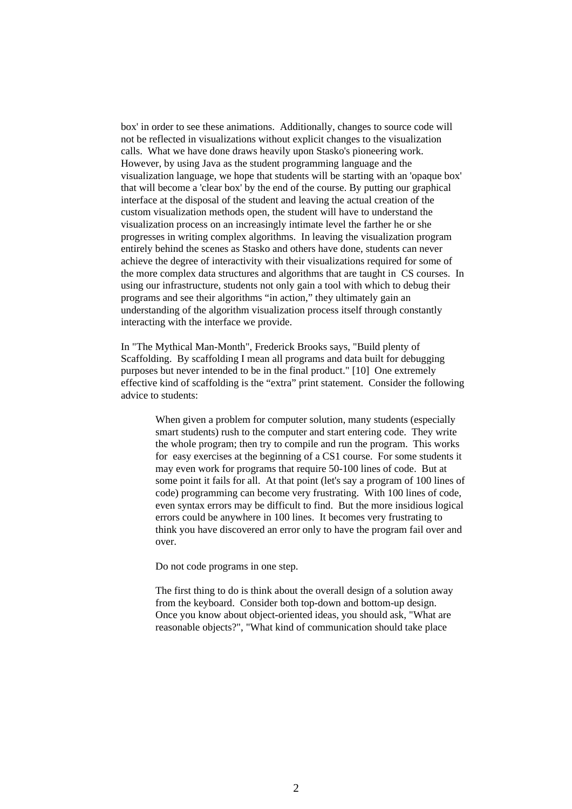box' in order to see these animations. Additionally, changes to source code will not be reflected in visualizations without explicit changes to the visualization calls. What we have done draws heavily upon Stasko's pioneering work. However, by using Java as the student programming language and the visualization language, we hope that students will be starting with an 'opaque box' that will become a 'clear box' by the end of the course. By putting our graphical interface at the disposal of the student and leaving the actual creation of the custom visualization methods open, the student will have to understand the visualization process on an increasingly intimate level the farther he or she progresses in writing complex algorithms. In leaving the visualization program entirely behind the scenes as Stasko and others have done, students can never achieve the degree of interactivity with their visualizations required for some of the more complex data structures and algorithms that are taught in CS courses. In using our infrastructure, students not only gain a tool with which to debug their programs and see their algorithms "in action," they ultimately gain an understanding of the algorithm visualization process itself through constantly interacting with the interface we provide.

In "The Mythical Man-Month", Frederick Brooks says, "Build plenty of Scaffolding. By scaffolding I mean all programs and data built for debugging purposes but never intended to be in the final product." [10] One extremely effective kind of scaffolding is the "extra" print statement. Consider the following advice to students:

When given a problem for computer solution, many students (especially smart students) rush to the computer and start entering code. They write the whole program; then try to compile and run the program. This works for easy exercises at the beginning of a CS1 course. For some students it may even work for programs that require 50-100 lines of code. But at some point it fails for all. At that point (let's say a program of 100 lines of code) programming can become very frustrating. With 100 lines of code, even syntax errors may be difficult to find. But the more insidious logical errors could be anywhere in 100 lines. It becomes very frustrating to think you have discovered an error only to have the program fail over and over.

Do not code programs in one step.

The first thing to do is think about the overall design of a solution away from the keyboard. Consider both top-down and bottom-up design. Once you know about object-oriented ideas, you should ask, "What are reasonable objects?", "What kind of communication should take place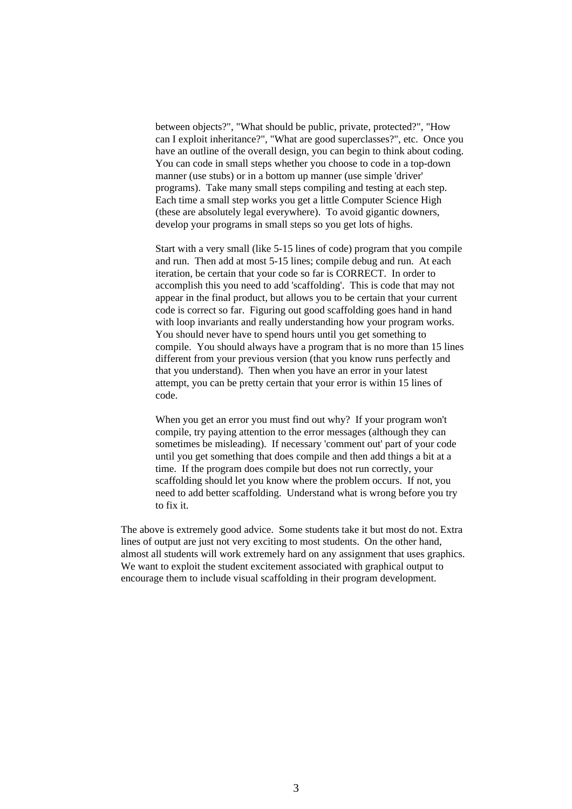between objects?", "What should be public, private, protected?", "How can I exploit inheritance?", "What are good superclasses?", etc. Once you have an outline of the overall design, you can begin to think about coding. You can code in small steps whether you choose to code in a top-down manner (use stubs) or in a bottom up manner (use simple 'driver' programs). Take many small steps compiling and testing at each step. Each time a small step works you get a little Computer Science High (these are absolutely legal everywhere). To avoid gigantic downers, develop your programs in small steps so you get lots of highs.

Start with a very small (like 5-15 lines of code) program that you compile and run. Then add at most 5-15 lines; compile debug and run. At each iteration, be certain that your code so far is CORRECT. In order to accomplish this you need to add 'scaffolding'. This is code that may not appear in the final product, but allows you to be certain that your current code is correct so far. Figuring out good scaffolding goes hand in hand with loop invariants and really understanding how your program works. You should never have to spend hours until you get something to compile. You should always have a program that is no more than 15 lines different from your previous version (that you know runs perfectly and that you understand). Then when you have an error in your latest attempt, you can be pretty certain that your error is within 15 lines of code.

When you get an error you must find out why? If your program won't compile, try paying attention to the error messages (although they can sometimes be misleading). If necessary 'comment out' part of your code until you get something that does compile and then add things a bit at a time. If the program does compile but does not run correctly, your scaffolding should let you know where the problem occurs. If not, you need to add better scaffolding. Understand what is wrong before you try to fix it.

The above is extremely good advice. Some students take it but most do not. Extra lines of output are just not very exciting to most students. On the other hand, almost all students will work extremely hard on any assignment that uses graphics. We want to exploit the student excitement associated with graphical output to encourage them to include visual scaffolding in their program development.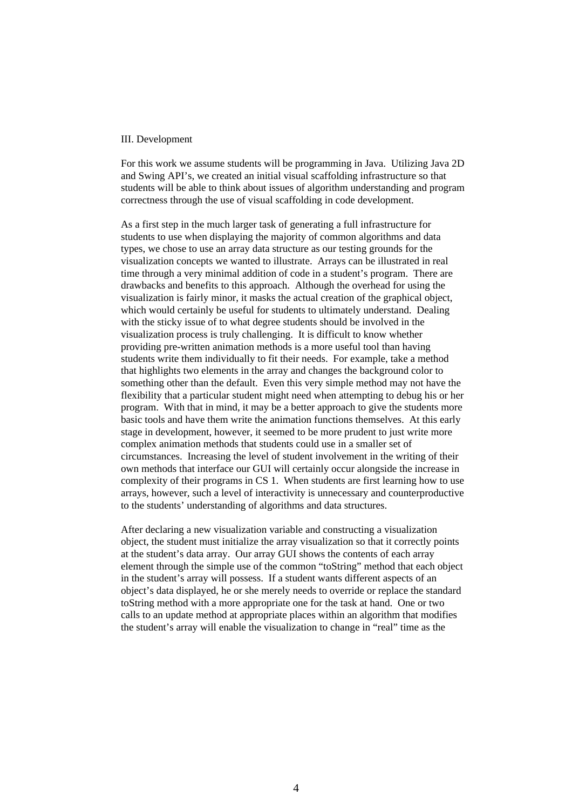#### III. Development

For this work we assume students will be programming in Java. Utilizing Java 2D and Swing API's, we created an initial visual scaffolding infrastructure so that students will be able to think about issues of algorithm understanding and program correctness through the use of visual scaffolding in code development.

As a first step in the much larger task of generating a full infrastructure for students to use when displaying the majority of common algorithms and data types, we chose to use an array data structure as our testing grounds for the visualization concepts we wanted to illustrate. Arrays can be illustrated in real time through a very minimal addition of code in a student's program. There are drawbacks and benefits to this approach. Although the overhead for using the visualization is fairly minor, it masks the actual creation of the graphical object, which would certainly be useful for students to ultimately understand. Dealing with the sticky issue of to what degree students should be involved in the visualization process is truly challenging. It is difficult to know whether providing pre-written animation methods is a more useful tool than having students write them individually to fit their needs. For example, take a method that highlights two elements in the array and changes the background color to something other than the default. Even this very simple method may not have the flexibility that a particular student might need when attempting to debug his or her program. With that in mind, it may be a better approach to give the students more basic tools and have them write the animation functions themselves. At this early stage in development, however, it seemed to be more prudent to just write more complex animation methods that students could use in a smaller set of circumstances. Increasing the level of student involvement in the writing of their own methods that interface our GUI will certainly occur alongside the increase in complexity of their programs in CS 1. When students are first learning how to use arrays, however, such a level of interactivity is unnecessary and counterproductive to the students' understanding of algorithms and data structures.

After declaring a new visualization variable and constructing a visualization object, the student must initialize the array visualization so that it correctly points at the student's data array. Our array GUI shows the contents of each array element through the simple use of the common "toString" method that each object in the student's array will possess. If a student wants different aspects of an object's data displayed, he or she merely needs to override or replace the standard toString method with a more appropriate one for the task at hand. One or two calls to an update method at appropriate places within an algorithm that modifies the student's array will enable the visualization to change in "real" time as the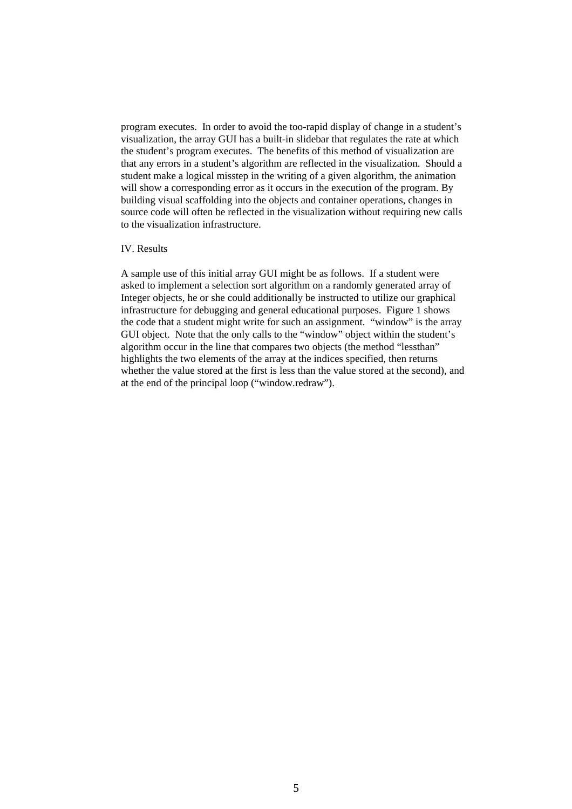program executes. In order to avoid the too-rapid display of change in a student's visualization, the array GUI has a built-in slidebar that regulates the rate at which the student's program executes. The benefits of this method of visualization are that any errors in a student's algorithm are reflected in the visualization. Should a student make a logical misstep in the writing of a given algorithm, the animation will show a corresponding error as it occurs in the execution of the program. By building visual scaffolding into the objects and container operations, changes in source code will often be reflected in the visualization without requiring new calls to the visualization infrastructure.

### IV. Results

A sample use of this initial array GUI might be as follows. If a student were asked to implement a selection sort algorithm on a randomly generated array of Integer objects, he or she could additionally be instructed to utilize our graphical infrastructure for debugging and general educational purposes. Figure 1 shows the code that a student might write for such an assignment. "window" is the array GUI object. Note that the only calls to the "window" object within the student's algorithm occur in the line that compares two objects (the method "lessthan" highlights the two elements of the array at the indices specified, then returns whether the value stored at the first is less than the value stored at the second), and at the end of the principal loop ("window.redraw").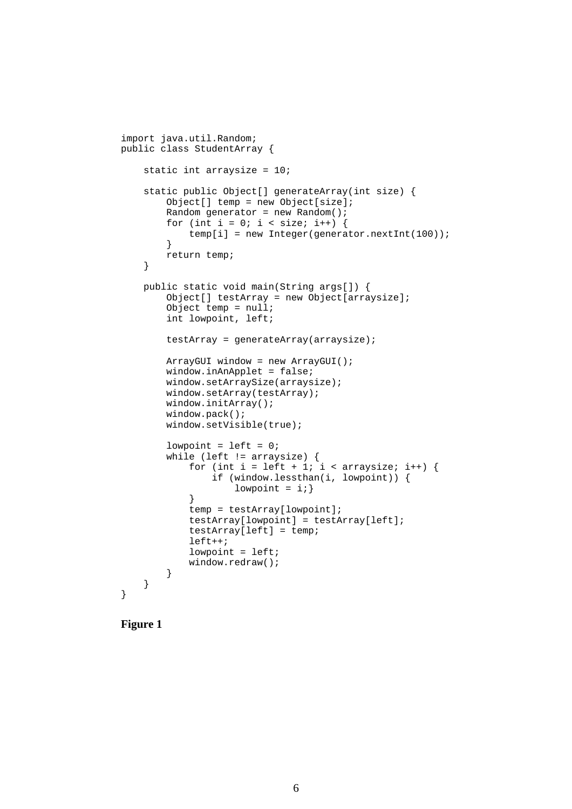```
import java.util.Random;
public class StudentArray {
     static int arraysize = 10;
     static public Object[] generateArray(int size) {
         Object[] temp = new Object[size];
        Random generator = new Random();
        for (int i = 0; i < size; i++) {
             temp[i] = new Integer(generator.nextInt(100));
         }
         return temp;
     }
     public static void main(String args[]) {
         Object[] testArray = new Object[arraysize];
         Object temp = null;
         int lowpoint, left;
         testArray = generateArray(arraysize);
         ArrayGUI window = new ArrayGUI();
         window.inAnApplet = false;
         window.setArraySize(arraysize);
         window.setArray(testArray);
         window.initArray();
         window.pack();
         window.setVisible(true);
        lowpoint = left = 0;
         while (left != arraysize) {
            for (int i = left + 1; i < arraysize; i++) {
                 if (window.lessthan(i, lowpoint)) {
                    lowpoint = i; }
 }
             temp = testArray[lowpoint];
             testArray[lowpoint] = testArray[left];
             testArray[left] = temp;
             left++;
            lowpoint = left; window.redraw();
         }
    }
}
```
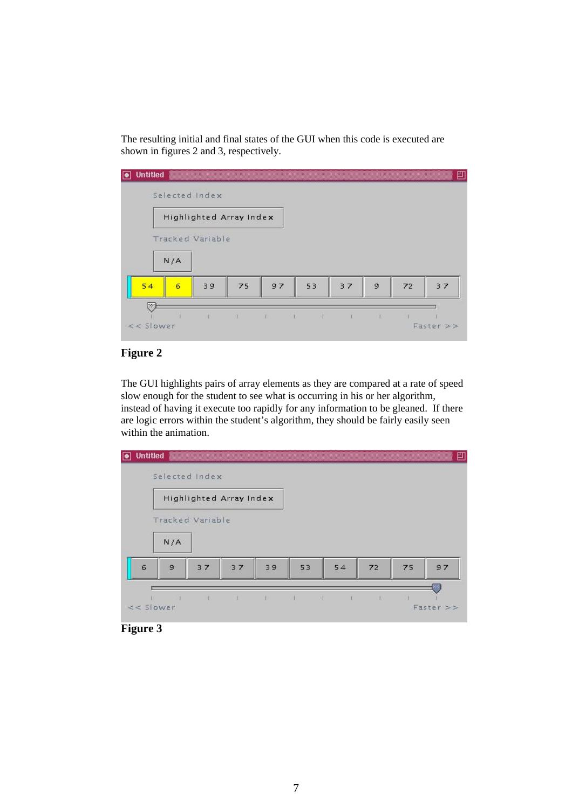The resulting initial and final states of the GUI when this code is executed are shown in figures 2 and 3, respectively.

| <b>Untitled</b><br>lo |     | Selected Index          |    |           |    |    |   |    | 凹  |
|-----------------------|-----|-------------------------|----|-----------|----|----|---|----|----|
|                       |     | Highlighted Array Index |    |           |    |    |   |    |    |
|                       |     | Tracked Variable        |    |           |    |    |   |    |    |
|                       | N/A |                         |    |           |    |    |   |    |    |
| 54                    | 6   | 39                      | 75 | 97        | 53 | 37 | 9 | 72 | 37 |
| 99<br>$<<$ Slower     |     |                         |    | - 11<br>◆ |    |    |   |    |    |

# **Figure 2**

The GUI highlights pairs of array elements as they are compared at a rate of speed slow enough for the student to see what is occurring in his or her algorithm, instead of having it execute too rapidly for any information to be gleaned. If there are logic errors within the student's algorithm, they should be fairly easily seen within the animation.



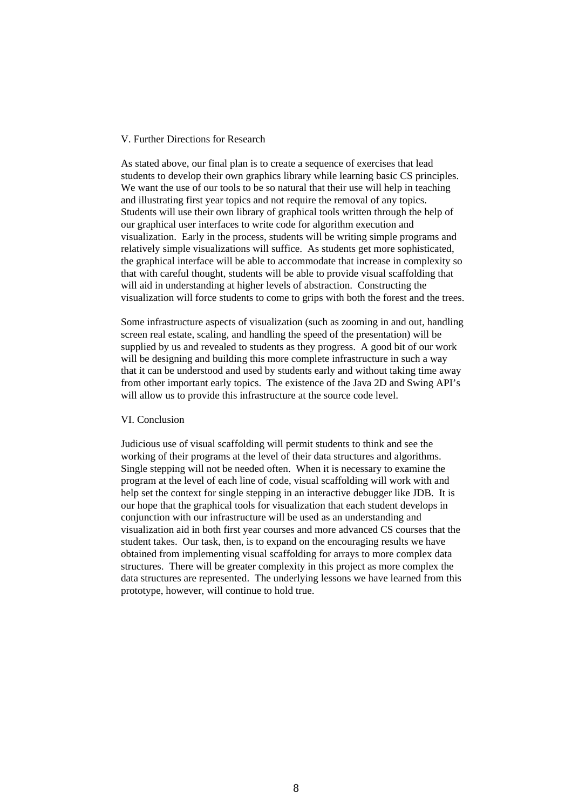#### V. Further Directions for Research

As stated above, our final plan is to create a sequence of exercises that lead students to develop their own graphics library while learning basic CS principles. We want the use of our tools to be so natural that their use will help in teaching and illustrating first year topics and not require the removal of any topics. Students will use their own library of graphical tools written through the help of our graphical user interfaces to write code for algorithm execution and visualization. Early in the process, students will be writing simple programs and relatively simple visualizations will suffice. As students get more sophisticated, the graphical interface will be able to accommodate that increase in complexity so that with careful thought, students will be able to provide visual scaffolding that will aid in understanding at higher levels of abstraction. Constructing the visualization will force students to come to grips with both the forest and the trees.

Some infrastructure aspects of visualization (such as zooming in and out, handling screen real estate, scaling, and handling the speed of the presentation) will be supplied by us and revealed to students as they progress. A good bit of our work will be designing and building this more complete infrastructure in such a way that it can be understood and used by students early and without taking time away from other important early topics. The existence of the Java 2D and Swing API's will allow us to provide this infrastructure at the source code level.

# VI. Conclusion

Judicious use of visual scaffolding will permit students to think and see the working of their programs at the level of their data structures and algorithms. Single stepping will not be needed often. When it is necessary to examine the program at the level of each line of code, visual scaffolding will work with and help set the context for single stepping in an interactive debugger like JDB. It is our hope that the graphical tools for visualization that each student develops in conjunction with our infrastructure will be used as an understanding and visualization aid in both first year courses and more advanced CS courses that the student takes. Our task, then, is to expand on the encouraging results we have obtained from implementing visual scaffolding for arrays to more complex data structures. There will be greater complexity in this project as more complex the data structures are represented. The underlying lessons we have learned from this prototype, however, will continue to hold true.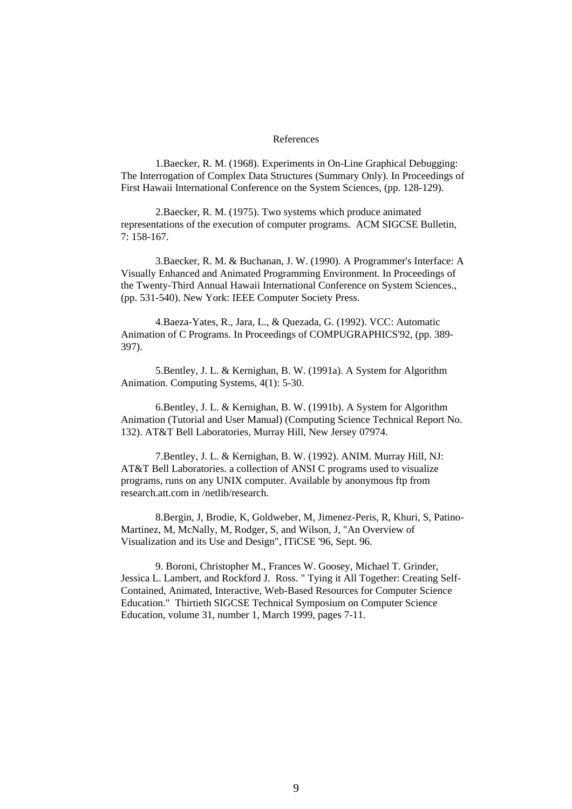#### References

1.Baecker, R. M. (1968). Experiments in On-Line Graphical Debugging: The Interrogation of Complex Data Structures (Summary Only). In Proceedings of First Hawaii International Conference on the System Sciences, (pp. 128-129).

2.Baecker, R. M. (1975). Two systems which produce animated representations of the execution of computer programs. ACM SIGCSE Bulletin, 7: 158-167.

3.Baecker, R. M. & Buchanan, J. W. (1990). A Programmer's Interface: A Visually Enhanced and Animated Programming Environment. In Proceedings of the Twenty-Third Annual Hawaii International Conference on System Sciences., (pp. 531-540). New York: IEEE Computer Society Press.

4.Baeza-Yates, R., Jara, L., & Quezada, G. (1992). VCC: Automatic Animation of C Programs. In Proceedings of COMPUGRAPHICS'92, (pp. 389- 397).

5.Bentley, J. L. & Kernighan, B. W. (1991a). A System for Algorithm Animation. Computing Systems, 4(1): 5-30.

6.Bentley, J. L. & Kernighan, B. W. (1991b). A System for Algorithm Animation (Tutorial and User Manual) (Computing Science Technical Report No. 132). AT&T Bell Laboratories, Murray Hill, New Jersey 07974.

7.Bentley, J. L. & Kernighan, B. W. (1992). ANIM. Murray Hill, NJ: AT&T Bell Laboratories. a collection of ANSI C programs used to visualize programs, runs on any UNIX computer. Available by anonymous ftp from research.att.com in /netlib/research.

8.Bergin, J, Brodie, K, Goldweber, M, Jimenez-Peris, R, Khuri, S, Patino-Martinez, M, McNally, M, Rodger, S, and Wilson, J, "An Overview of Visualization and its Use and Design", ITiCSE '96, Sept. 96.

9. Boroni, Christopher M., Frances W. Goosey, Michael T. Grinder, Jessica L. Lambert, and Rockford J. Ross. " Tying it All Together: Creating Self-Contained, Animated, Interactive, Web-Based Resources for Computer Science Education." Thirtieth SIGCSE Technical Symposium on Computer Science Education, volume 31, number 1, March 1999, pages 7-11.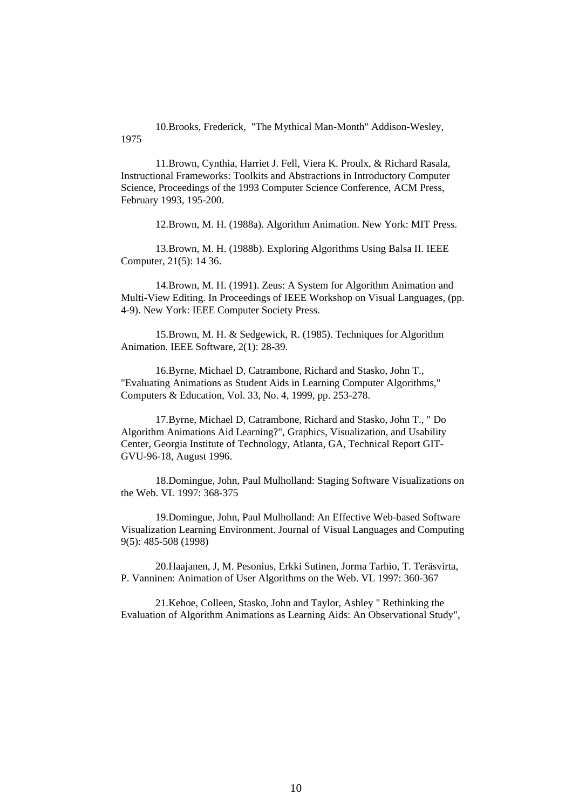10.Brooks, Frederick, "The Mythical Man-Month" Addison-Wesley, 1975

11.Brown, Cynthia, Harriet J. Fell, Viera K. Proulx, & Richard Rasala, Instructional Frameworks: Toolkits and Abstractions in Introductory Computer Science, Proceedings of the 1993 Computer Science Conference, ACM Press, February 1993, 195-200.

12.Brown, M. H. (1988a). Algorithm Animation. New York: MIT Press.

13.Brown, M. H. (1988b). Exploring Algorithms Using Balsa II. IEEE Computer, 21(5): 14 36.

14.Brown, M. H. (1991). Zeus: A System for Algorithm Animation and Multi-View Editing. In Proceedings of IEEE Workshop on Visual Languages, (pp. 4-9). New York: IEEE Computer Society Press.

15.Brown, M. H. & Sedgewick, R. (1985). Techniques for Algorithm Animation. IEEE Software, 2(1): 28-39.

16.Byrne, Michael D, Catrambone, Richard and Stasko, John T., "Evaluating Animations as Student Aids in Learning Computer Algorithms," Computers & Education, Vol. 33, No. 4, 1999, pp. 253-278.

17.Byrne, Michael D, Catrambone, Richard and Stasko, John T., " Do Algorithm Animations Aid Learning?", Graphics, Visualization, and Usability Center, Georgia Institute of Technology, Atlanta, GA, Technical Report GIT-GVU-96-18, August 1996.

18.Domingue, John, Paul Mulholland: Staging Software Visualizations on the Web. VL 1997: 368-375

19.Domingue, John, Paul Mulholland: An Effective Web-based Software Visualization Learning Environment. Journal of Visual Languages and Computing 9(5): 485-508 (1998)

20.Haajanen, J, M. Pesonius, Erkki Sutinen, Jorma Tarhio, T. Teräsvirta, P. Vanninen: Animation of User Algorithms on the Web. VL 1997: 360-367

21.Kehoe, Colleen, Stasko, John and Taylor, Ashley " Rethinking the Evaluation of Algorithm Animations as Learning Aids: An Observational Study",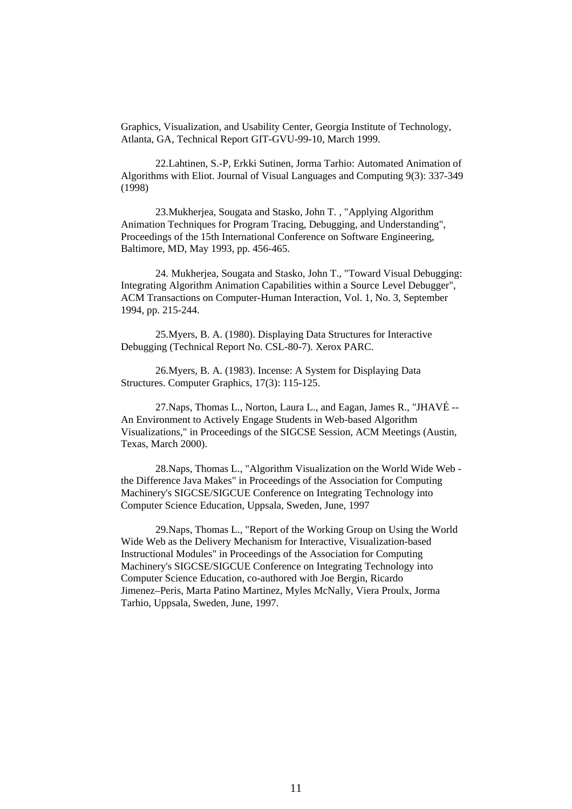Graphics, Visualization, and Usability Center, Georgia Institute of Technology, Atlanta, GA, Technical Report GIT-GVU-99-10, March 1999.

22.Lahtinen, S.-P, Erkki Sutinen, Jorma Tarhio: Automated Animation of Algorithms with Eliot. Journal of Visual Languages and Computing 9(3): 337-349 (1998)

23.Mukherjea, Sougata and Stasko, John T. , "Applying Algorithm Animation Techniques for Program Tracing, Debugging, and Understanding". Proceedings of the 15th International Conference on Software Engineering, Baltimore, MD, May 1993, pp. 456-465.

24. Mukherjea, Sougata and Stasko, John T., "Toward Visual Debugging: Integrating Algorithm Animation Capabilities within a Source Level Debugger", ACM Transactions on Computer-Human Interaction, Vol. 1, No. 3, September 1994, pp. 215-244.

25.Myers, B. A. (1980). Displaying Data Structures for Interactive Debugging (Technical Report No. CSL-80-7). Xerox PARC.

26.Myers, B. A. (1983). Incense: A System for Displaying Data Structures. Computer Graphics, 17(3): 115-125.

27.Naps, Thomas L., Norton, Laura L., and Eagan, James R., "JHAVÉ -- An Environment to Actively Engage Students in Web-based Algorithm Visualizations," in Proceedings of the SIGCSE Session, ACM Meetings (Austin, Texas, March 2000).

28.Naps, Thomas L., "Algorithm Visualization on the World Wide Web the Difference Java Makes" in Proceedings of the Association for Computing Machinery's SIGCSE/SIGCUE Conference on Integrating Technology into Computer Science Education, Uppsala, Sweden, June, 1997

29.Naps, Thomas L., "Report of the Working Group on Using the World Wide Web as the Delivery Mechanism for Interactive, Visualization-based Instructional Modules" in Proceedings of the Association for Computing Machinery's SIGCSE/SIGCUE Conference on Integrating Technology into Computer Science Education, co-authored with Joe Bergin, Ricardo Jimenez–Peris, Marta Patino Martinez, Myles McNally, Viera Proulx, Jorma Tarhio, Uppsala, Sweden, June, 1997.